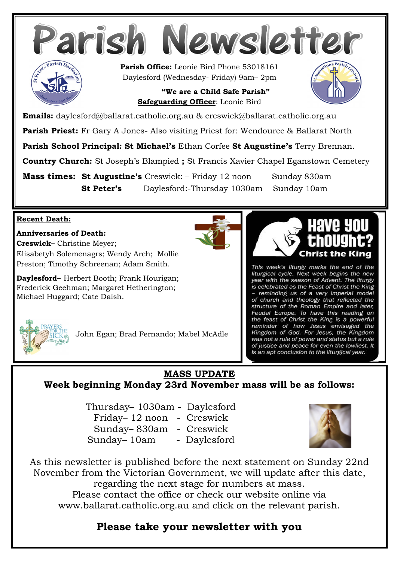

 **"We are a Child Safe Parish" Safeguarding Officer**: Leonie Bird



**Emails:** daylesford@ballarat.catholic.org.au & creswick@ballarat.catholic.org.au

**Parish Priest:** Fr Gary A Jones- Also visiting Priest for: Wendouree & Ballarat North

**Parish School Principal: St Michael's** Ethan Corfee **St Augustine's** Terry Brennan.

**Country Church:** St Joseph's Blampied **;** St Francis Xavier Chapel Eganstown Cemetery

**Mass times: St Augustine's** Creswick: – Friday 12 noon Sunday 830am **St Peter's** Daylesford:-Thursday 1030am Sunday 10am

#### **Recent Death:**

#### **Anniversaries of Death:**

**Creswick–** Christine Meyer; Elisabetyh Solemenagrs; Wendy Arch; Mollie Preston; Timothy Schreenan; Adam Smith.

**Daylesford–** Herbert Booth; Frank Hourigan; Frederick Geehman; Margaret Hetherington; Michael Huggard; Cate Daish.





This week's liturgy marks the end of the liturgical cycle. Next week begins the new year with the season of Advent. The liturgy is celebrated as the Feast of Christ the King - reminding us of a very imperial model of church and theology that reflected the<br>structure of the Roman Empire and later, Feudal Europe. To have this reading on the feast of Christ the King is a powerful<br>reminder of how Jesus envisaged the<br>Kingdom of God. For Jesus, the Kingdom was not a rule of power and status but a rule of justice and peace for even the lowliest. It is an apt conclusion to the liturgical year.



John Egan; Brad Fernando; Mabel McAdle

## **MASS UPDATE**

**Week beginning Monday 23rd November mass will be as follows:**

Thursday– 1030am - Daylesford Friday– 12 noon - Creswick Sunday– 830am - Creswick Sunday– 10am - Daylesford



As this newsletter is published before the next statement on Sunday 22nd November from the Victorian Government, we will update after this date, regarding the next stage for numbers at mass. Please contact the office or check our website online via www.ballarat.catholic.org.au and click on the relevant parish.

## **Please take your newsletter with you**